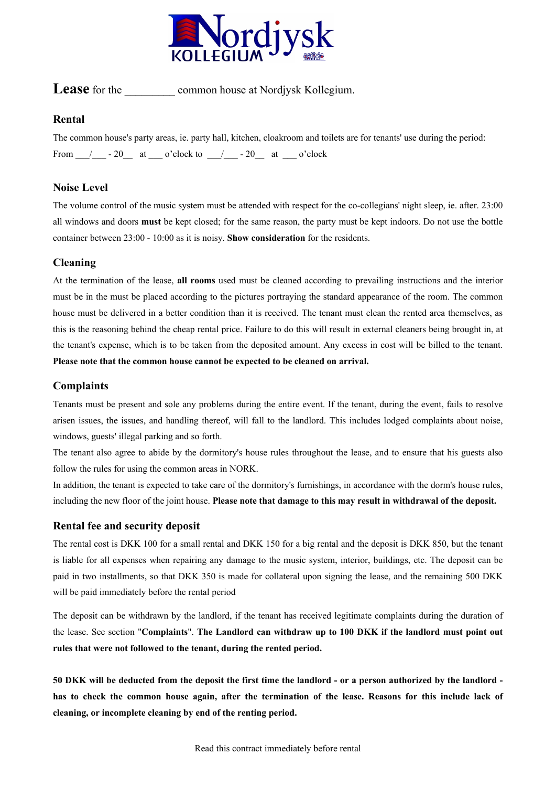

# **Lease** for the common house at Nordjysk Kollegium.

#### **Rental**

The common house's party areas, ie. party hall, kitchen, cloakroom and toilets are for tenants' use during the period: From  $/$  - 20 at  $o$ 'clock to  $/$  - 20 at  $o$ 'clock

## **Noise Level**

The volume control of the music system must be attended with respect for the co-collegians' night sleep, ie. after. 23:00 all windows and doors **must** be kept closed; for the same reason, the party must be kept indoors. Do not use the bottle container between 23:00 - 10:00 as it is noisy. **Show consideration** for the residents.

## **Cleaning**

At the termination of the lease, **all rooms** used must be cleaned according to prevailing instructions and the interior must be in the must be placed according to the pictures portraying the standard appearance of the room. The common house must be delivered in a better condition than it is received. The tenant must clean the rented area themselves, as this is the reasoning behind the cheap rental price. Failure to do this will result in external cleaners being brought in, at the tenant's expense, which is to be taken from the deposited amount. Any excess in cost will be billed to the tenant. **Please note that the common house cannot be expected to be cleaned on arrival.**

## **Complaints**

Tenants must be present and sole any problems during the entire event. If the tenant, during the event, fails to resolve arisen issues, the issues, and handling thereof, will fall to the landlord. This includes lodged complaints about noise, windows, guests' illegal parking and so forth.

The tenant also agree to abide by the dormitory's house rules throughout the lease, and to ensure that his guests also follow the rules for using the common areas in NORK.

In addition, the tenant is expected to take care of the dormitory's furnishings, in accordance with the dorm's house rules, including the new floor of the joint house. **Please note that damage to this may result in withdrawal of the deposit.**

#### **Rental fee and security deposit**

The rental cost is DKK 100 for a small rental and DKK 150 for a big rental and the deposit is DKK 850, but the tenant is liable for all expenses when repairing any damage to the music system, interior, buildings, etc. The deposit can be paid in two installments, so that DKK 350 is made for collateral upon signing the lease, and the remaining 500 DKK will be paid immediately before the rental period

The deposit can be withdrawn by the landlord, if the tenant has received legitimate complaints during the duration of the lease. See section "**Complaints**". **The Landlord can withdraw up to 100 DKK if the landlord must point out rules that were not followed to the tenant, during the rented period.**

**50 DKK will be deducted from the deposit the first time the landlord - or a person authorized by the landlord has to check the common house again, after the termination of the lease. Reasons for this include lack of cleaning, or incomplete cleaning by end of the renting period.**